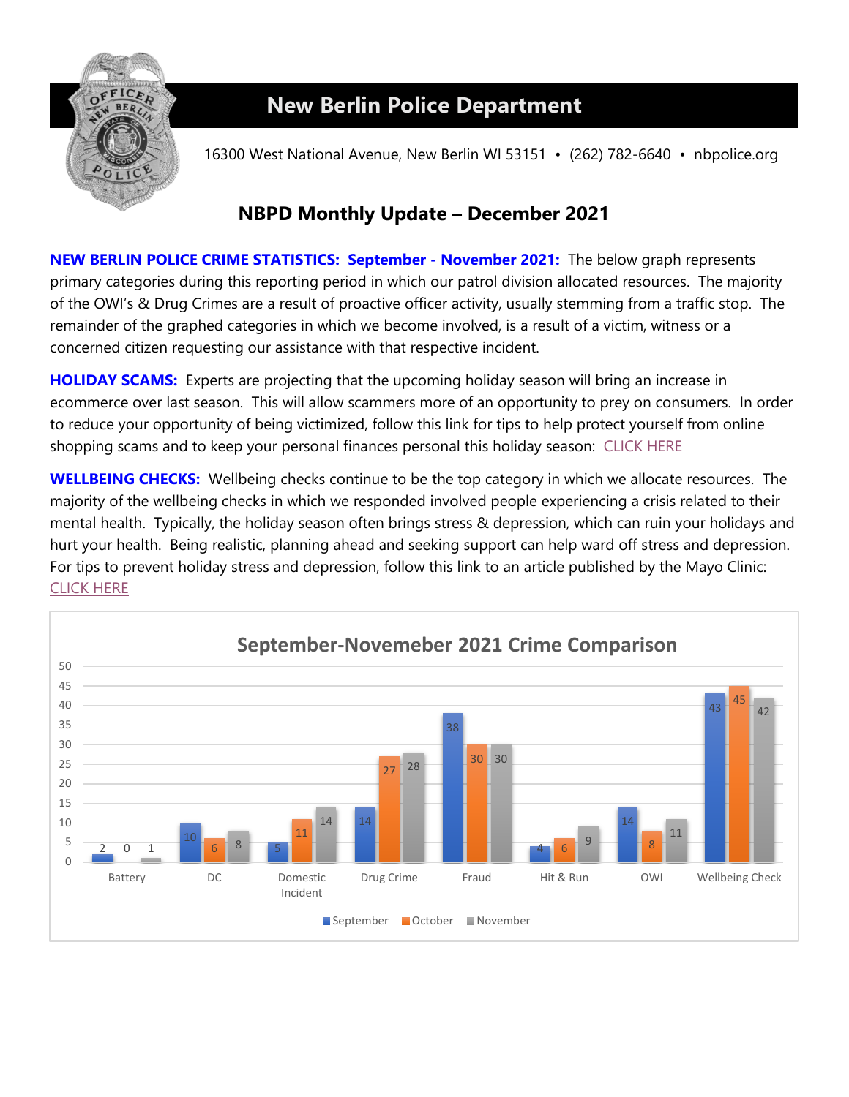

## **New Berlin Police Department**

16300 West National Avenue, New Berlin WI 53151 • (262) 782-6640 • nbpolice.org

## **NBPD Monthly Update – December 2021**

**NEW BERLIN POLICE CRIME STATISTICS: September - November 2021:** The below graph represents primary categories during this reporting period in which our patrol division allocated resources. The majority of the OWI's & Drug Crimes are a result of proactive officer activity, usually stemming from a traffic stop. The remainder of the graphed categories in which we become involved, is a result of a victim, witness or a concerned citizen requesting our assistance with that respective incident.

**HOLIDAY SCAMS:** Experts are projecting that the upcoming holiday season will bring an increase in ecommerce over last season. This will allow scammers more of an opportunity to prey on consumers. In order to reduce your opportunity of being victimized, follow this link for tips to help protect yourself from online shopping scams and to keep your personal finances personal this holiday season: [CLICK HERE](https://www.checkngo.com/finance-academy/article/7-tips-to-avoid-holiday-scams-in-2021) 

**WELLBEING CHECKS:** Wellbeing checks continue to be the top category in which we allocate resources. The majority of the wellbeing checks in which we responded involved people experiencing a crisis related to their mental health. Typically, the holiday season often brings stress & depression, which can ruin your holidays and hurt your health. Being realistic, planning ahead and seeking support can help ward off stress and depression. For tips to prevent holiday stress and depression, follow this link to an article published by the Mayo Clinic: [CLICK HERE](https://www.mayoclinic.org/healthy-lifestyle/stress-management/in-depth/stress/art-20047544)

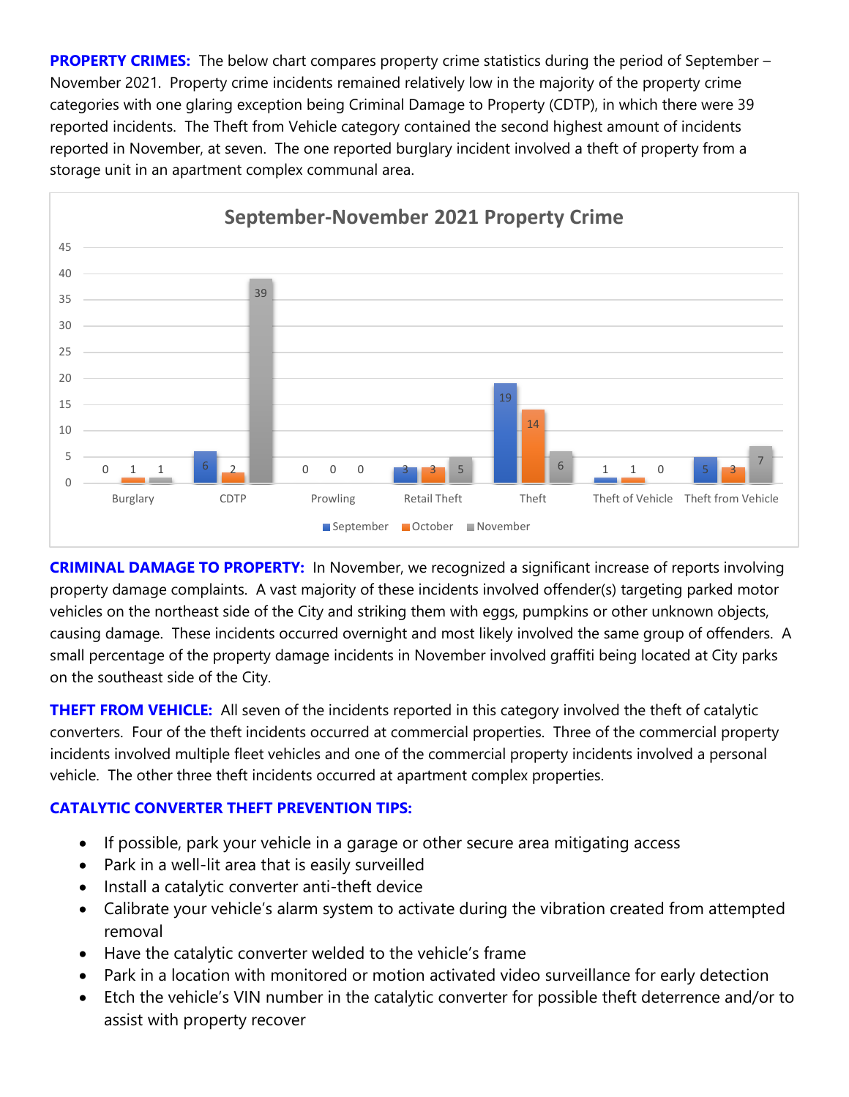**PROPERTY CRIMES:** The below chart compares property crime statistics during the period of September – November 2021. Property crime incidents remained relatively low in the majority of the property crime categories with one glaring exception being Criminal Damage to Property (CDTP), in which there were 39 reported incidents. The Theft from Vehicle category contained the second highest amount of incidents reported in November, at seven. The one reported burglary incident involved a theft of property from a storage unit in an apartment complex communal area.



**CRIMINAL DAMAGE TO PROPERTY:** In November, we recognized a significant increase of reports involving property damage complaints. A vast majority of these incidents involved offender(s) targeting parked motor vehicles on the northeast side of the City and striking them with eggs, pumpkins or other unknown objects, causing damage. These incidents occurred overnight and most likely involved the same group of offenders. A small percentage of the property damage incidents in November involved graffiti being located at City parks on the southeast side of the City.

**THEFT FROM VEHICLE:** All seven of the incidents reported in this category involved the theft of catalytic converters. Four of the theft incidents occurred at commercial properties. Three of the commercial property incidents involved multiple fleet vehicles and one of the commercial property incidents involved a personal vehicle. The other three theft incidents occurred at apartment complex properties.

## **CATALYTIC CONVERTER THEFT PREVENTION TIPS:**

- If possible, park your vehicle in a garage or other secure area mitigating access
- Park in a well-lit area that is easily surveilled
- Install a catalytic converter anti-theft device
- Calibrate your vehicle's alarm system to activate during the vibration created from attempted removal
- Have the catalytic converter welded to the vehicle's frame
- Park in a location with monitored or motion activated video surveillance for early detection
- Etch the vehicle's VIN number in the catalytic converter for possible theft deterrence and/or to assist with property recover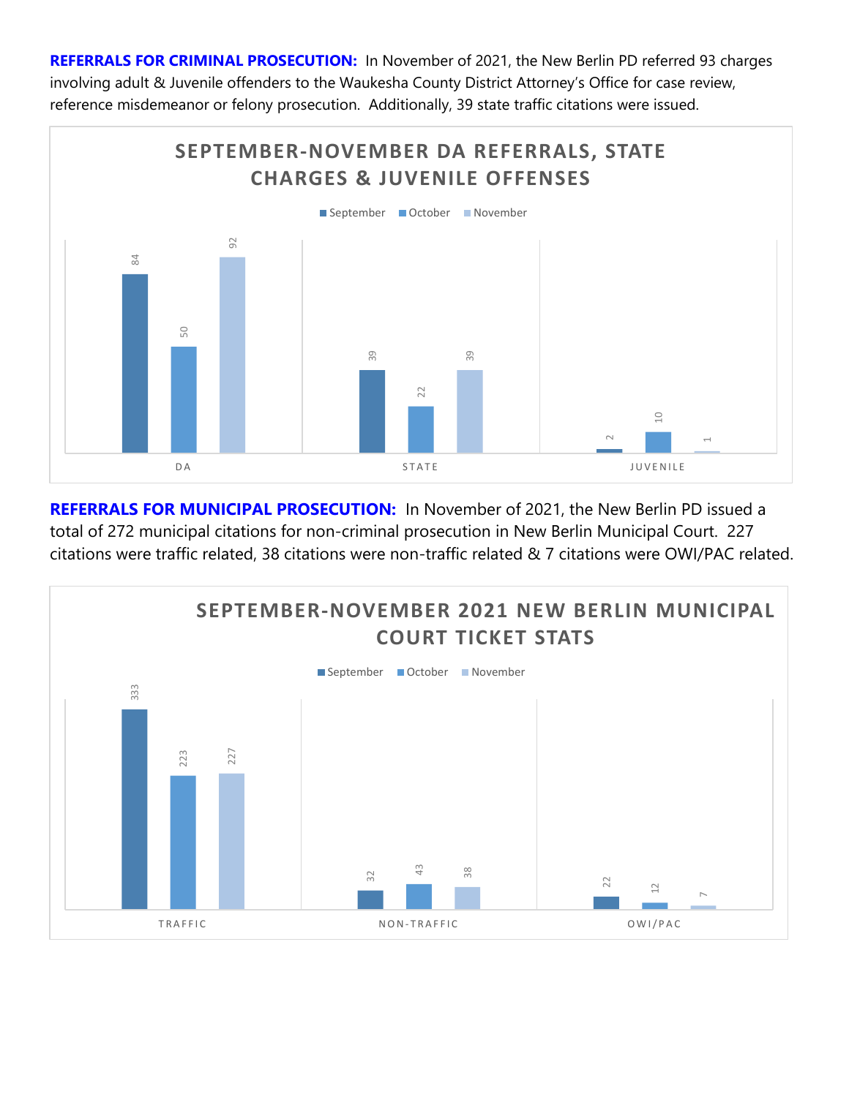**REFERRALS FOR CRIMINAL PROSECUTION:** In November of 2021, the New Berlin PD referred 93 charges involving adult & Juvenile offenders to the Waukesha County District Attorney's Office for case review, reference misdemeanor or felony prosecution. Additionally, 39 state traffic citations were issued.



**REFERRALS FOR MUNICIPAL PROSECUTION:** In November of 2021, the New Berlin PD issued a total of 272 municipal citations for non-criminal prosecution in New Berlin Municipal Court. 227